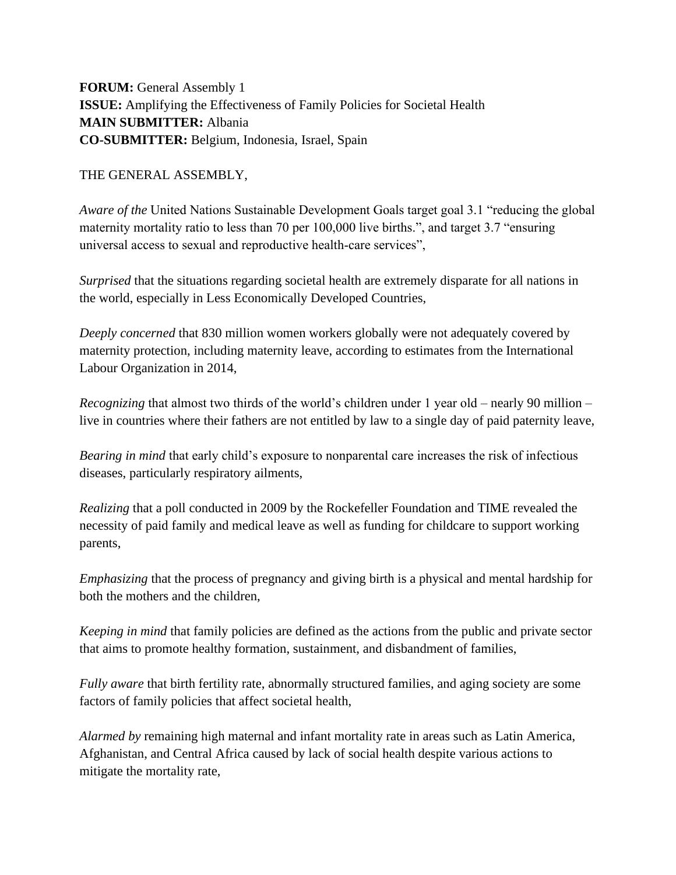**FORUM:** General Assembly 1 **ISSUE:** Amplifying the Effectiveness of Family Policies for Societal Health **MAIN SUBMITTER:** Albania **CO-SUBMITTER:** Belgium, Indonesia, Israel, Spain

THE GENERAL ASSEMBLY,

*Aware of the* United Nations Sustainable Development Goals target goal 3.1 "reducing the global maternity mortality ratio to less than 70 per 100,000 live births.", and target 3.7 "ensuring universal access to sexual and reproductive health‐care services",

*Surprised* that the situations regarding societal health are extremely disparate for all nations in the world, especially in Less Economically Developed Countries,

*Deeply concerned* that 830 million women workers globally were not adequately covered by maternity protection, including maternity leave, according to estimates from the International Labour Organization in 2014,

*Recognizing* that almost two thirds of the world's children under 1 year old – nearly 90 million – live in countries where their fathers are not entitled by law to a single day of paid paternity leave,

*Bearing in mind* that early child's exposure to nonparental care increases the risk of infectious diseases, particularly respiratory ailments,

*Realizing* that a poll conducted in 2009 by the Rockefeller Foundation and TIME revealed the necessity of paid family and medical leave as well as funding for childcare to support working parents,

*Emphasizing* that the process of pregnancy and giving birth is a physical and mental hardship for both the mothers and the children,

*Keeping in mind* that family policies are defined as the actions from the public and private sector that aims to promote healthy formation, sustainment, and disbandment of families,

*Fully aware* that birth fertility rate, abnormally structured families, and aging society are some factors of family policies that affect societal health,

*Alarmed by* remaining high maternal and infant mortality rate in areas such as Latin America, Afghanistan, and Central Africa caused by lack of social health despite various actions to mitigate the mortality rate,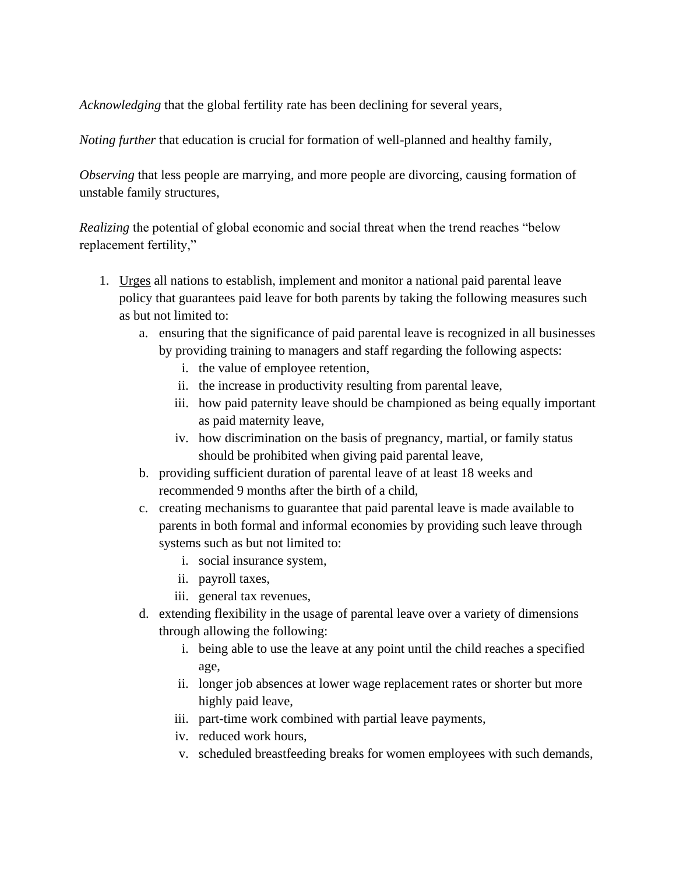*Acknowledging* that the global fertility rate has been declining for several years,

*Noting further* that education is crucial for formation of well-planned and healthy family,

*Observing* that less people are marrying, and more people are divorcing, causing formation of unstable family structures,

*Realizing* the potential of global economic and social threat when the trend reaches "below replacement fertility,"

- 1. Urges all nations to establish, implement and monitor a national paid parental leave policy that guarantees paid leave for both parents by taking the following measures such as but not limited to:
	- a. ensuring that the significance of paid parental leave is recognized in all businesses by providing training to managers and staff regarding the following aspects:
		- i. the value of employee retention,
		- ii. the increase in productivity resulting from parental leave,
		- iii. how paid paternity leave should be championed as being equally important as paid maternity leave,
		- iv. how discrimination on the basis of pregnancy, martial, or family status should be prohibited when giving paid parental leave,
	- b. providing sufficient duration of parental leave of at least 18 weeks and recommended 9 months after the birth of a child,
	- c. creating mechanisms to guarantee that paid parental leave is made available to parents in both formal and informal economies by providing such leave through systems such as but not limited to:
		- i. social insurance system,
		- ii. payroll taxes,
		- iii. general tax revenues,
	- d. extending flexibility in the usage of parental leave over a variety of dimensions through allowing the following:
		- i. being able to use the leave at any point until the child reaches a specified age,
		- ii. longer job absences at lower wage replacement rates or shorter but more highly paid leave,
		- iii. part-time work combined with partial leave payments,
		- iv. reduced work hours,
		- v. scheduled breastfeeding breaks for women employees with such demands,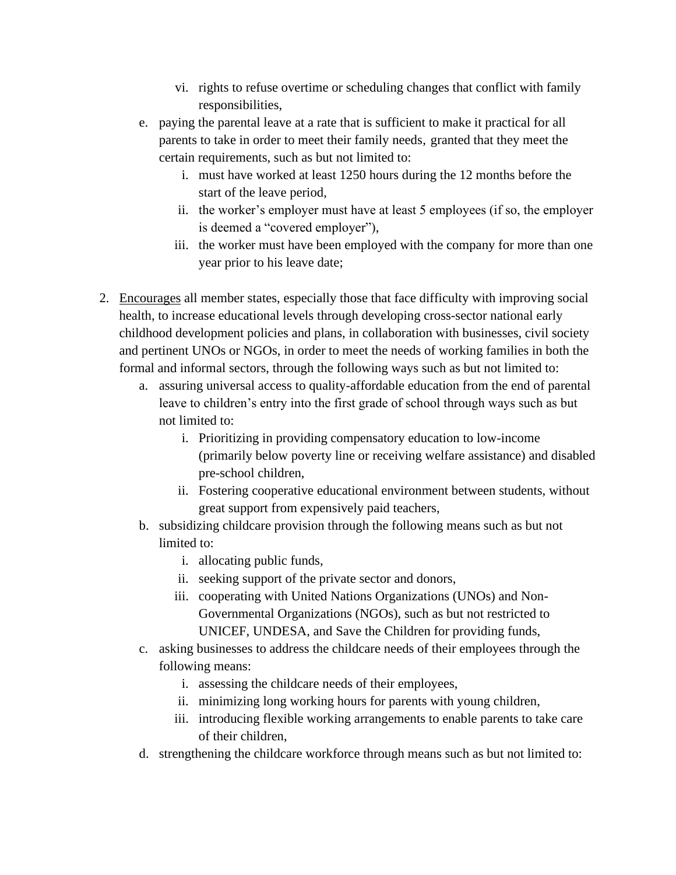- vi. rights to refuse overtime or scheduling changes that conflict with family responsibilities,
- e. paying the parental leave at a rate that is sufficient to make it practical for all parents to take in order to meet their family needs, granted that they meet the certain requirements, such as but not limited to:
	- i. must have worked at least 1250 hours during the 12 months before the start of the leave period,
	- ii. the worker's employer must have at least 5 employees (if so, the employer is deemed a "covered employer"),
	- iii. the worker must have been employed with the company for more than one year prior to his leave date;
- 2. Encourages all member states, especially those that face difficulty with improving social health, to increase educational levels through developing cross-sector national early childhood development policies and plans, in collaboration with businesses, civil society and pertinent UNOs or NGOs, in order to meet the needs of working families in both the formal and informal sectors, through the following ways such as but not limited to:
	- a. assuring universal access to quality-affordable education from the end of parental leave to children's entry into the first grade of school through ways such as but not limited to:
		- i. Prioritizing in providing compensatory education to low-income (primarily below poverty line or receiving welfare assistance) and disabled pre-school children,
		- ii. Fostering cooperative educational environment between students, without great support from expensively paid teachers,
	- b. subsidizing childcare provision through the following means such as but not limited to:
		- i. allocating public funds,
		- ii. seeking support of the private sector and donors,
		- iii. cooperating with United Nations Organizations (UNOs) and Non-Governmental Organizations (NGOs), such as but not restricted to UNICEF, UNDESA, and Save the Children for providing funds,
	- c. asking businesses to address the childcare needs of their employees through the following means:
		- i. assessing the childcare needs of their employees,
		- ii. minimizing long working hours for parents with young children,
		- iii. introducing flexible working arrangements to enable parents to take care of their children,
	- d. strengthening the childcare workforce through means such as but not limited to: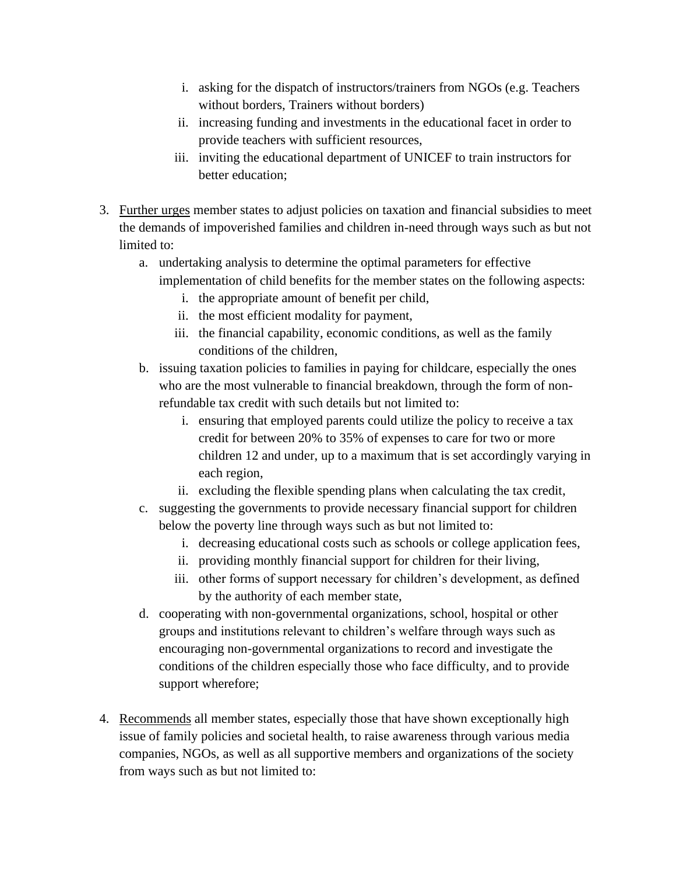- i. asking for the dispatch of instructors/trainers from NGOs (e.g. Teachers without borders, Trainers without borders)
- ii. increasing funding and investments in the educational facet in order to provide teachers with sufficient resources,
- iii. inviting the educational department of UNICEF to train instructors for better education;
- 3. Further urges member states to adjust policies on taxation and financial subsidies to meet the demands of impoverished families and children in-need through ways such as but not limited to:
	- a. undertaking analysis to determine the optimal parameters for effective implementation of child benefits for the member states on the following aspects:
		- i. the appropriate amount of benefit per child,
		- ii. the most efficient modality for payment,
		- iii. the financial capability, economic conditions, as well as the family conditions of the children,
	- b. issuing taxation policies to families in paying for childcare, especially the ones who are the most vulnerable to financial breakdown, through the form of nonrefundable tax credit with such details but not limited to:
		- i. ensuring that employed parents could utilize the policy to receive a tax credit for between 20% to 35% of expenses to care for two or more children 12 and under, up to a maximum that is set accordingly varying in each region,
		- ii. excluding the flexible spending plans when calculating the tax credit,
	- c. suggesting the governments to provide necessary financial support for children below the poverty line through ways such as but not limited to:
		- i. decreasing educational costs such as schools or college application fees,
		- ii. providing monthly financial support for children for their living,
		- iii. other forms of support necessary for children's development, as defined by the authority of each member state,
	- d. cooperating with non-governmental organizations, school, hospital or other groups and institutions relevant to children's welfare through ways such as encouraging non-governmental organizations to record and investigate the conditions of the children especially those who face difficulty, and to provide support wherefore;
- 4. Recommends all member states, especially those that have shown exceptionally high issue of family policies and societal health, to raise awareness through various media companies, NGOs, as well as all supportive members and organizations of the society from ways such as but not limited to: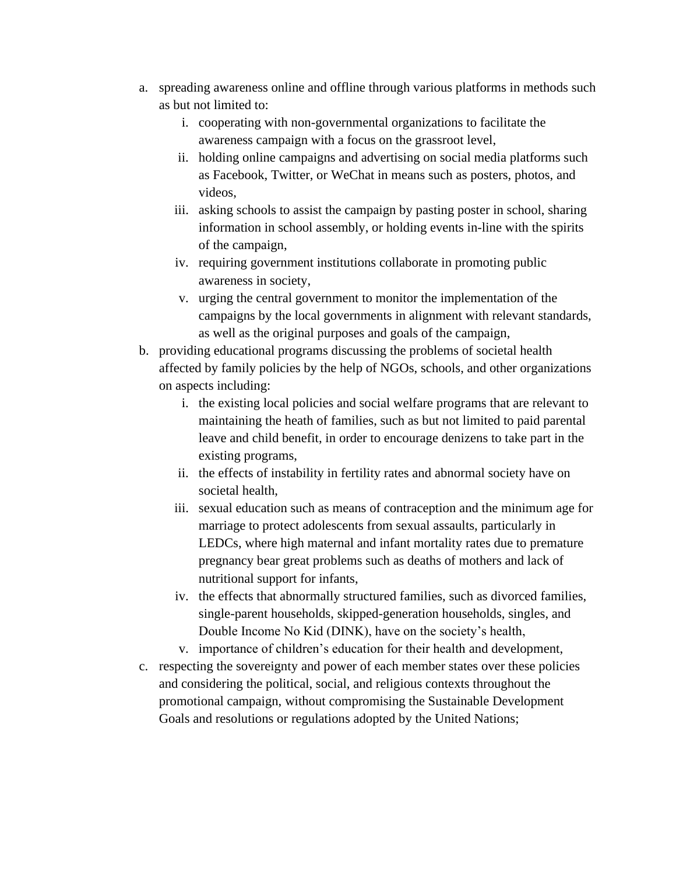- a. spreading awareness online and offline through various platforms in methods such as but not limited to:
	- i. cooperating with non-governmental organizations to facilitate the awareness campaign with a focus on the grassroot level,
	- ii. holding online campaigns and advertising on social media platforms such as Facebook, Twitter, or WeChat in means such as posters, photos, and videos,
	- iii. asking schools to assist the campaign by pasting poster in school, sharing information in school assembly, or holding events in-line with the spirits of the campaign,
	- iv. requiring government institutions collaborate in promoting public awareness in society,
	- v. urging the central government to monitor the implementation of the campaigns by the local governments in alignment with relevant standards, as well as the original purposes and goals of the campaign,
- b. providing educational programs discussing the problems of societal health affected by family policies by the help of NGOs, schools, and other organizations on aspects including:
	- i. the existing local policies and social welfare programs that are relevant to maintaining the heath of families, such as but not limited to paid parental leave and child benefit, in order to encourage denizens to take part in the existing programs,
	- ii. the effects of instability in fertility rates and abnormal society have on societal health,
	- iii. sexual education such as means of contraception and the minimum age for marriage to protect adolescents from sexual assaults, particularly in LEDCs, where high maternal and infant mortality rates due to premature pregnancy bear great problems such as deaths of mothers and lack of nutritional support for infants,
	- iv. the effects that abnormally structured families, such as divorced families, single-parent households, skipped-generation households, singles, and Double Income No Kid (DINK), have on the society's health,
	- v. importance of children's education for their health and development,
- c. respecting the sovereignty and power of each member states over these policies and considering the political, social, and religious contexts throughout the promotional campaign, without compromising the Sustainable Development Goals and resolutions or regulations adopted by the United Nations;